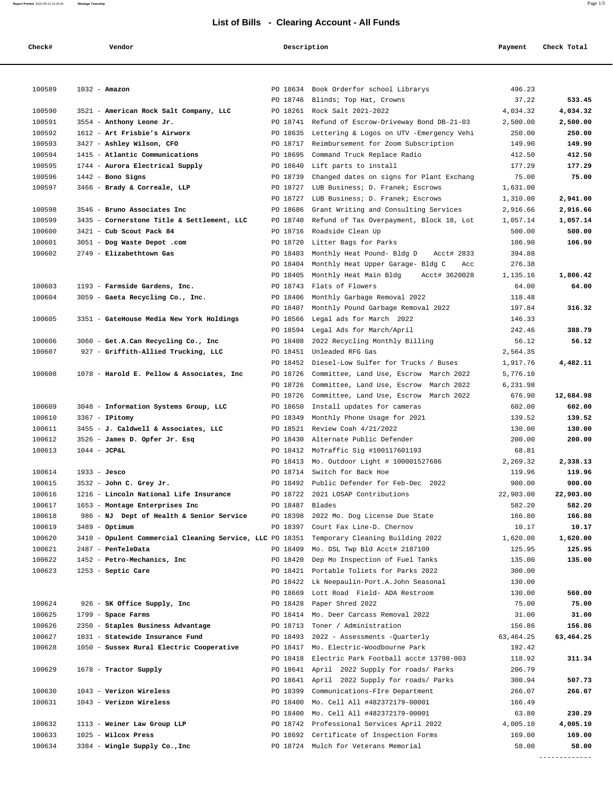## **List of Bills - Clearing Account - All Funds**

| Check#           | Vendor                                                                                                        | Description          |                                                                          | Payment              | Check Total       |
|------------------|---------------------------------------------------------------------------------------------------------------|----------------------|--------------------------------------------------------------------------|----------------------|-------------------|
|                  |                                                                                                               |                      |                                                                          |                      |                   |
| 100589           | $1032 - \text{Amazon}$                                                                                        | PO 18634             | Book Orderfor school Librarys                                            | 496.23               |                   |
|                  |                                                                                                               |                      | PO 18746 Blinds; Top Hat, Crowns                                         | 37.22                | 533.45            |
| 100590           | 3521 - American Rock Salt Company, LLC                                                                        |                      | PO 18261 Rock Salt 2021-2022                                             | 4,034.32             | 4,034.32          |
| 100591           | 3554 - Anthony Leone Jr.                                                                                      |                      | PO 18741 Refund of Escrow-Driveway Bond DB-21-03                         | 2,500.00             | 2,500.00          |
| 100592           | 1612 - Art Frisbie's Airworx                                                                                  | PO 18635             | Lettering & Logos on UTV -Emergency Vehi                                 | 250.00               | 250.00            |
| 100593           | 3427 - Ashley Wilson, CFO                                                                                     |                      | PO 18717 Reimbursement for Zoom Subscription                             | 149.90               | 149.90            |
| 100594<br>100595 | 1415 - Atlantic Communications                                                                                | PO 18695             | Command Truck Replace Radio<br>PO 18640 Lift parts to install            | 412.50<br>177.29     | 412.50<br>177.29  |
| 100596           | 1744 - Aurora Electrical Supply<br>$1442$ - Bono Signs                                                        | PO 18739             | Changed dates on signs for Plant Exchang                                 | 75.00                | 75.00             |
| 100597           | 3466 - Brady & Correale, LLP                                                                                  | PO 18727             | LUB Business; D. Franek; Escrows                                         | 1,631.00             |                   |
|                  |                                                                                                               | PO 18727             | LUB Business; D. Franek; Escrows                                         | 1,310.00             | 2,941.00          |
| 100598           | 3546 - Bruno Associates Inc                                                                                   | PO 18686             | Grant Writing and Consulting Services                                    | 2,916.66             | 2,916.66          |
| 100599           | 3435 - Cornerstone Title & Settlement, LLC                                                                    | PO 18740             | Refund of Tax Overpayment, Block 18, Lot                                 | 1,057.14             | 1,057.14          |
| 100600           | 3421 - Cub Scout Pack 84                                                                                      | PO 18716             | Roadside Clean Up                                                        | 500.00               | 500.00            |
| 100601           | 3051 - Dog Waste Depot .com                                                                                   | PO 18720             | Litter Bags for Parks                                                    | 106.90               | 106.90            |
| 100602           | 2749 - Elizabethtown Gas                                                                                      | PO 18403             | Monthly Heat Pound- Bldg D<br>Acct# 2833                                 | 394.88               |                   |
|                  |                                                                                                               | PO 18404             | Monthly Heat Upper Garage- Bldg C<br>Acc                                 | 276.38               |                   |
|                  |                                                                                                               | PO 18405             | Monthly Heat Main Bldg<br>Acct# 3620028                                  | 1,135.16             | 1,806.42          |
| 100603           | 1193 - Farmside Gardens, Inc.                                                                                 |                      | PO 18743 Flats of Flowers                                                | 64.00                | 64.00             |
| 100604           | 3059 - Gaeta Recycling Co., Inc.                                                                              | PO 18406             | Monthly Garbage Removal 2022                                             | 118.48               |                   |
|                  |                                                                                                               | PO 18407             | Monthly Pound Garbage Removal 2022                                       | 197.84               | 316.32            |
| 100605           | 3351 - GateHouse Media New York Holdings                                                                      | PO 18566             | Legal ads for March 2022                                                 | 146.33               |                   |
|                  |                                                                                                               | PO 18594             | Legal Ads for March/April                                                | 242.46               | 388.79            |
| 100606<br>100607 | 3060 - Get.A.Can Recycling Co., Inc                                                                           | PO 18408<br>PO 18451 | 2022 Recycling Monthly Billing<br>Unleaded RFG Gas                       | 56.12                | 56.12             |
|                  | 927 - Griffith-Allied Trucking, LLC                                                                           | PO 18452             | Diesel-Low Sulfer for Trucks / Buses                                     | 2,564.35<br>1,917.76 | 4,482.11          |
| 100608           | 1078 - Harold E. Pellow & Associates, Inc                                                                     | PO 18726             | Committee, Land Use, Escrow March 2022                                   | 5,776.10             |                   |
|                  |                                                                                                               | PO 18726             | Committee, Land Use, Escrow March 2022                                   | 6,231.98             |                   |
|                  |                                                                                                               | PO 18726             | Committee, Land Use, Escrow March 2022                                   | 676.90               | 12,684.98         |
| 100609           | 3048 - Information Systems Group, LLC                                                                         | PO 18650             | Install updates for cameras                                              | 602.00               | 602.00            |
| 100610           | $3367$ - IPitomy                                                                                              | PO 18349             | Monthly Phone Usage for 2021                                             | 139.52               | 139.52            |
| 100611           | 3455 - J. Caldwell & Associates, LLC                                                                          |                      | PO 18521 Review Coah 4/21/2022                                           | 130.00               | 130.00            |
| 100612           | 3526 - James D. Opfer Jr. Esq                                                                                 | PO 18430             | Alternate Public Defender                                                | 200.00               | 200.00            |
| 100613           | $1044 - JCPAL$                                                                                                |                      | PO 18412 MoTraffic Sig #100117601193                                     | 68.81                |                   |
|                  |                                                                                                               | PO 18413             | Mo. Outdoor Light # 100001527686                                         | 2,269.32             | 2,338.13          |
| 100614           | $1933 - Jesco$                                                                                                |                      | PO 18714 Switch for Back Hoe                                             | 119.96               | 119.96            |
| 100615           | 3532 - John C. Grey Jr.                                                                                       |                      | PO 18492 Public Defender for Feb-Dec 2022                                | 900.00               | 900.00            |
| 100616           | 1216 - Lincoln National Life Insurance                                                                        |                      | PO 18722 2021 LOSAP Contributions                                        | 22,903.00            | 22,903.00         |
| 100617           | 1653 - Montage Enterprises Inc                                                                                | PO 18487             | Blades                                                                   | 582.20               | 582.20            |
| 100618           | 986 - NJ Dept of Health & Senior Service                                                                      | PO 18398             | 2022 Mo. Dog License Due State<br>PO 18397 Court Fax Line-D. Chernov     | 166.80               | 166.80            |
| 100619<br>100620 | $3489 -$ Optimum<br>3410 - Opulent Commercial Cleaning Service, LLC PO 18351 Temporary Cleaning Building 2022 |                      |                                                                          | 10.17<br>1,620.00    | 10.17<br>1,620.00 |
| 100621           | 2487 - PenTeleData                                                                                            | PO 18409             | Mo. DSL Twp Bld Acct# 2187109                                            | 125.95               | 125.95            |
| 100622           | 1452 - Petro-Mechanics, Inc                                                                                   | PO 18420             | Dep Mo Inspection of Fuel Tanks                                          | 135.00               | 135.00            |
| 100623           | $1253$ - Septic Care                                                                                          | PO 18421             | Portable Toliets for Parks 2022                                          | 300.00               |                   |
|                  |                                                                                                               |                      | PO 18422 Lk Neepaulin-Port.A.John Seasonal                               | 130.00               |                   |
|                  |                                                                                                               | PO 18669             | Lott Road Field- ADA Restroom                                            | 130.00               | 560.00            |
| 100624           | 926 - SK Office Supply, Inc                                                                                   | PO 18428             | Paper Shred 2022                                                         | 75.00                | 75.00             |
| 100625           | 1799 - Space Farms                                                                                            |                      | PO 18414 Mo. Deer Carcass Removal 2022                                   | 31.00                | 31.00             |
| 100626           | 2350 - Staples Business Advantage                                                                             | PO 18713             | Toner / Administration                                                   | 156.86               | 156.86            |
| 100627           | 1031 - Statewide Insurance Fund                                                                               |                      | PO 18493 2022 - Assessments -Quarterly                                   | 63,464.25            | 63,464.25         |
| 100628           | 1050 - Sussex Rural Electric Cooperative                                                                      |                      | PO 18417 Mo. Electric-Woodbourne Park                                    | 192.42               |                   |
|                  |                                                                                                               |                      | PO 18418 Electric Park Football acct# 13798-003                          | 118.92               | 311.34            |
| 100629           | 1678 - Tractor Supply                                                                                         |                      | PO 18641 April 2022 Supply for roads/ Parks                              | 206.79               |                   |
|                  |                                                                                                               |                      | PO 18641 April 2022 Supply for roads/ Parks                              | 300.94               | 507.73<br>266.07  |
| 100630<br>100631 | 1043 - Verizon Wireless<br>1043 - Verizon Wireless                                                            | PO 18399             | Communications-FIre Department<br>PO 18400 Mo. Cell All #482372179-00001 | 266.07<br>166.49     |                   |
|                  |                                                                                                               |                      | PO 18400 Mo. Cell All #482372179-00001                                   | 63.80                | 230.29            |
| 100632           | 1113 - Weiner Law Group LLP                                                                                   |                      | PO 18742 Professional Services April 2022                                | 4,005.10             | 4,005.10          |
| 100633           | $1025$ - Wilcox Press                                                                                         |                      | PO 18692 Certificate of Inspection Forms                                 | 169.00               | 169.00            |
| 100634           | 3384 - Wingle Supply Co., Inc                                                                                 |                      | PO 18724 Mulch for Veterans Memorial                                     | 58.00                | 58.00             |

**Report Printed** 2022-05-12 10:33:25 **Wantage Township** Page 1/3

-------------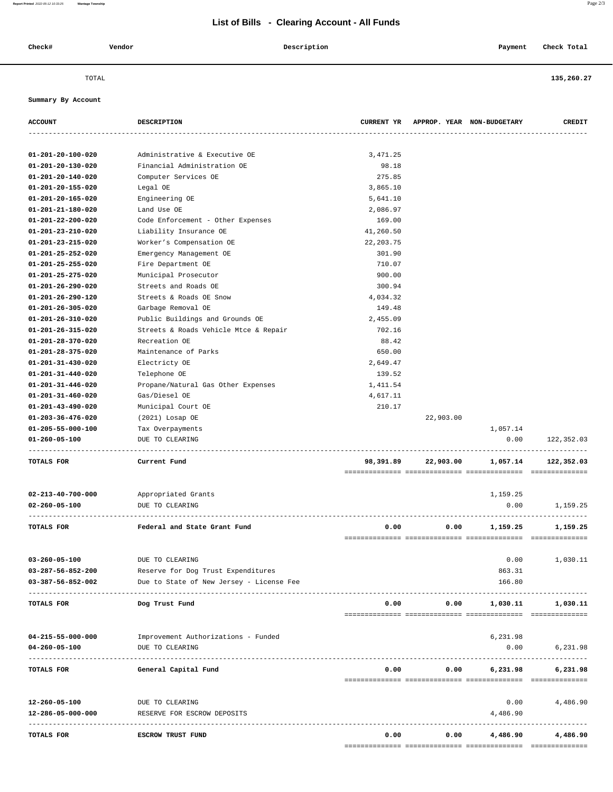## **List of Bills - Clearing Account - All Funds**

| Check# | Vendor | Description<br>. | Payment | Check Total |
|--------|--------|------------------|---------|-------------|

============== ============== ============== ==============

TOTAL **135,260.27**

 **Summary By Account**

| <b>ACCOUNT</b>              | DESCRIPTION                              |            |           | CURRENT YR APPROP. YEAR NON-BUDGETARY | CREDIT                           |
|-----------------------------|------------------------------------------|------------|-----------|---------------------------------------|----------------------------------|
|                             |                                          |            |           |                                       |                                  |
| 01-201-20-100-020           | Administrative & Executive OE            | 3,471.25   |           |                                       |                                  |
| 01-201-20-130-020           | Financial Administration OE              | 98.18      |           |                                       |                                  |
| 01-201-20-140-020           | Computer Services OE                     | 275.85     |           |                                       |                                  |
| 01-201-20-155-020           | Legal OE                                 | 3,865.10   |           |                                       |                                  |
| 01-201-20-165-020           | Engineering OE                           | 5,641.10   |           |                                       |                                  |
| 01-201-21-180-020           | Land Use OE                              | 2,086.97   |           |                                       |                                  |
| 01-201-22-200-020           | Code Enforcement - Other Expenses        | 169.00     |           |                                       |                                  |
| 01-201-23-210-020           | Liability Insurance OE                   | 41,260.50  |           |                                       |                                  |
| $01 - 201 - 23 - 215 - 020$ | Worker's Compensation OE                 | 22, 203.75 |           |                                       |                                  |
| $01 - 201 - 25 - 252 - 020$ | Emergency Management OE                  | 301.90     |           |                                       |                                  |
| 01-201-25-255-020           | Fire Department OE                       | 710.07     |           |                                       |                                  |
| 01-201-25-275-020           | Municipal Prosecutor                     | 900.00     |           |                                       |                                  |
| $01 - 201 - 26 - 290 - 020$ | Streets and Roads OE                     | 300.94     |           |                                       |                                  |
| 01-201-26-290-120           | Streets & Roads OE Snow                  | 4,034.32   |           |                                       |                                  |
| $01 - 201 - 26 - 305 - 020$ | Garbage Removal OE                       | 149.48     |           |                                       |                                  |
| $01 - 201 - 26 - 310 - 020$ | Public Buildings and Grounds OE          | 2,455.09   |           |                                       |                                  |
| 01-201-26-315-020           | Streets & Roads Vehicle Mtce & Repair    | 702.16     |           |                                       |                                  |
| 01-201-28-370-020           | Recreation OE                            | 88.42      |           |                                       |                                  |
| 01-201-28-375-020           | Maintenance of Parks                     | 650.00     |           |                                       |                                  |
| $01 - 201 - 31 - 430 - 020$ | Electricty OE                            | 2,649.47   |           |                                       |                                  |
| 01-201-31-440-020           | Telephone OE                             | 139.52     |           |                                       |                                  |
| 01-201-31-446-020           | Propane/Natural Gas Other Expenses       | 1,411.54   |           |                                       |                                  |
| $01 - 201 - 31 - 460 - 020$ | Gas/Diesel OE                            | 4,617.11   |           |                                       |                                  |
| 01-201-43-490-020           | Municipal Court OE                       | 210.17     |           |                                       |                                  |
| 01-203-36-476-020           | (2021) Losap OE                          |            | 22,903.00 |                                       |                                  |
| 01-205-55-000-100           | Tax Overpayments                         |            |           | 1,057.14                              |                                  |
| 01-260-05-100               | DUE TO CLEARING                          |            |           | 0.00                                  | 122,352.03                       |
|                             |                                          |            |           |                                       |                                  |
| TOTALS FOR                  | Current Fund                             | 98,391.89  | 22,903.00 | 1,057.14                              | 122,352.03                       |
| $02 - 213 - 40 - 700 - 000$ | Appropriated Grants                      |            |           | 1,159.25                              |                                  |
| $02 - 260 - 05 - 100$       | DUE TO CLEARING                          |            |           | 0.00                                  | 1,159.25                         |
| TOTALS FOR                  | Federal and State Grant Fund             | 0.00       | 0.00      | 1,159.25                              | --------------------<br>1,159.25 |
|                             |                                          |            |           |                                       |                                  |
| $03 - 260 - 05 - 100$       | DUE TO CLEARING                          |            |           | 0.00                                  | 1,030.11                         |
| $03 - 287 - 56 - 852 - 200$ | Reserve for Dog Trust Expenditures       |            |           | 863.31                                |                                  |
| 03-387-56-852-002           | Due to State of New Jersey - License Fee |            |           | 166.80                                |                                  |
| TOTALS FOR                  | Dog Trust Fund                           | 0.00       | 0.00      | 1,030.11                              | 1,030.11                         |
|                             |                                          |            |           |                                       |                                  |
| $04 - 215 - 55 - 000 - 000$ | Improvement Authorizations - Funded      |            |           | 6,231.98                              |                                  |
| $04 - 260 - 05 - 100$       | DUE TO CLEARING                          |            |           | 0.00                                  | 6,231.98                         |
| TOTALS FOR                  | General Capital Fund                     | 0.00       | 0.00      | 6,231.98                              | 6,231.98                         |
|                             |                                          |            |           |                                       |                                  |
| 12-260-05-100               | DUE TO CLEARING                          |            |           | 0.00                                  | 4,486.90                         |
| 12-286-05-000-000           | RESERVE FOR ESCROW DEPOSITS              |            |           | 4,486.90                              | -------------                    |
| TOTALS FOR                  | ESCROW TRUST FUND                        | 0.00       | 0.00      | 4,486.90                              | 4,486.90                         |